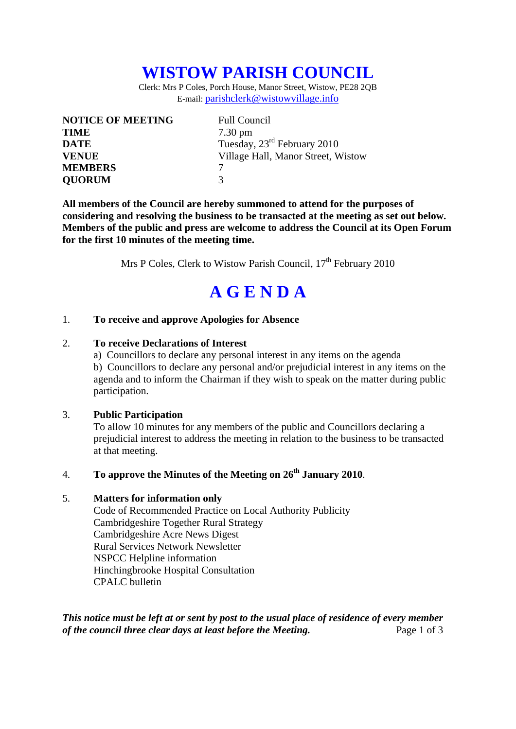## **WISTOW PARISH COUNCIL**

Clerk: Mrs P Coles, Porch House, Manor Street, Wistow, PE28 2QB E-mail: parishclerk@wistowvillage.info

| <b>NOTICE OF MEETING</b> | <b>Full Council</b>                     |
|--------------------------|-----------------------------------------|
| <b>TIME</b>              | $7.30 \text{ pm}$                       |
| <b>DATE</b>              | Tuesday, 23 <sup>rd</sup> February 2010 |
| <b>VENUE</b>             | Village Hall, Manor Street, Wistow      |
| <b>MEMBERS</b>           |                                         |
| <b>QUORUM</b>            | 3                                       |

**All members of the Council are hereby summoned to attend for the purposes of considering and resolving the business to be transacted at the meeting as set out below. Members of the public and press are welcome to address the Council at its Open Forum for the first 10 minutes of the meeting time.** 

Mrs P Coles, Clerk to Wistow Parish Council,  $17<sup>th</sup>$  February 2010

# **A G E N D A**

#### 1. **To receive and approve Apologies for Absence**

#### 2. **To receive Declarations of Interest**

 a) Councillors to declare any personal interest in any items on the agenda b) Councillors to declare any personal and/or prejudicial interest in any items on the agenda and to inform the Chairman if they wish to speak on the matter during public participation.

#### 3. **Public Participation**

To allow 10 minutes for any members of the public and Councillors declaring a prejudicial interest to address the meeting in relation to the business to be transacted at that meeting.

### 4. **To approve the Minutes of the Meeting on 26th January 2010**.

#### 5. **Matters for information only**

Code of Recommended Practice on Local Authority Publicity Cambridgeshire Together Rural Strategy Cambridgeshire Acre News Digest Rural Services Network Newsletter NSPCC Helpline information Hinchingbrooke Hospital Consultation CPALC bulletin

*This notice must be left at or sent by post to the usual place of residence of every member of the council three clear days at least before the Meeting.* Page 1 of 3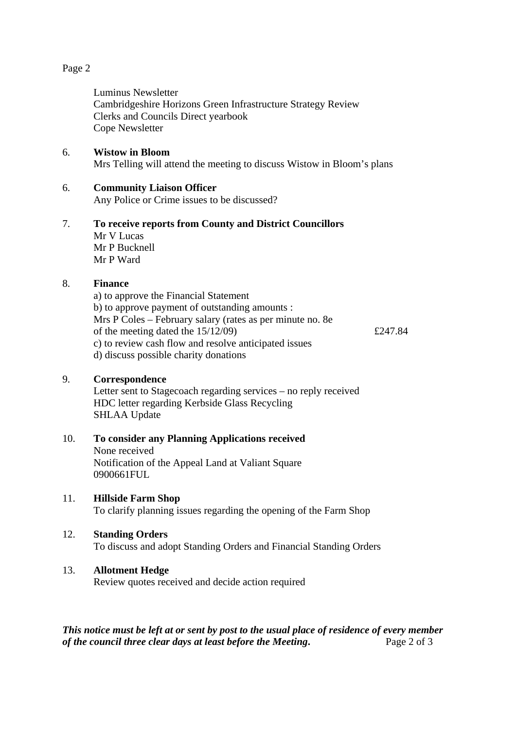#### Page 2

Luminus Newsletter Cambridgeshire Horizons Green Infrastructure Strategy Review Clerks and Councils Direct yearbook Cope Newsletter

#### 6. **Wistow in Bloom**

Mrs Telling will attend the meeting to discuss Wistow in Bloom's plans

#### 6. **Community Liaison Officer**

Any Police or Crime issues to be discussed?

#### 7. **To receive reports from County and District Councillors**  Mr V Lucas Mr P Bucknell Mr P Ward

# 8. **Finance**

a) to approve the Financial Statement b) to approve payment of outstanding amounts : Mrs P Coles – February salary (rates as per minute no. 8e of the meeting dated the  $15/12/09$   $\qquad \qquad$  £247.84 c) to review cash flow and resolve anticipated issues d) discuss possible charity donations

#### 9. **Correspondence**

Letter sent to Stagecoach regarding services – no reply received HDC letter regarding Kerbside Glass Recycling SHLAA Update

#### 10. **To consider any Planning Applications received**  None received Notification of the Appeal Land at Valiant Square 0900661FUL

#### 11. **Hillside Farm Shop**

To clarify planning issues regarding the opening of the Farm Shop

#### 12. **Standing Orders**

To discuss and adopt Standing Orders and Financial Standing Orders

#### 13. **Allotment Hedge**

Review quotes received and decide action required

*This notice must be left at or sent by post to the usual place of residence of every member of the council three clear days at least before the Meeting.* Page 2 of 3